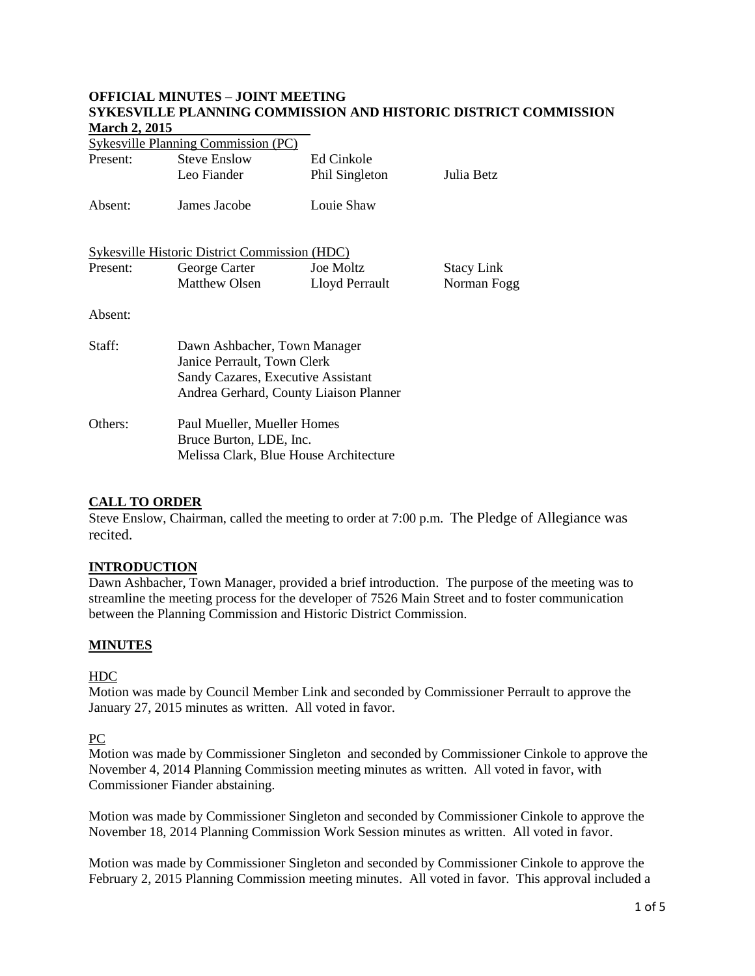#### **OFFICIAL MINUTES – JOINT MEETING SYKESVILLE PLANNING COMMISSION AND HISTORIC DISTRICT COMMISSION March 2, 2015**

| <b>Sykesville Planning Commission (PC)</b>    |                                                                                                                                             |                  |                   |
|-----------------------------------------------|---------------------------------------------------------------------------------------------------------------------------------------------|------------------|-------------------|
| Present:                                      | <b>Steve Enslow</b>                                                                                                                         | Ed Cinkole       |                   |
|                                               | Leo Fiander                                                                                                                                 | Phil Singleton   | Julia Betz        |
| Absent:                                       | James Jacobe                                                                                                                                | Louie Shaw       |                   |
| Sykesville Historic District Commission (HDC) |                                                                                                                                             |                  |                   |
| Present:                                      | George Carter                                                                                                                               | <b>Joe Moltz</b> | <b>Stacy Link</b> |
|                                               | Matthew Olsen                                                                                                                               | Lloyd Perrault   | Norman Fogg       |
| Absent:                                       |                                                                                                                                             |                  |                   |
| Staff:                                        | Dawn Ashbacher, Town Manager<br>Janice Perrault, Town Clerk<br>Sandy Cazares, Executive Assistant<br>Andrea Gerhard, County Liaison Planner |                  |                   |
| Others:                                       | Paul Mueller, Mueller Homes<br>Bruce Burton, LDE, Inc.<br>Melissa Clark, Blue House Architecture                                            |                  |                   |

# **CALL TO ORDER**

Steve Enslow, Chairman, called the meeting to order at 7:00 p.m. The Pledge of Allegiance was recited.

## **INTRODUCTION**

Dawn Ashbacher, Town Manager, provided a brief introduction. The purpose of the meeting was to streamline the meeting process for the developer of 7526 Main Street and to foster communication between the Planning Commission and Historic District Commission.

## **MINUTES**

## HDC

Motion was made by Council Member Link and seconded by Commissioner Perrault to approve the January 27, 2015 minutes as written. All voted in favor.

## PC

Motion was made by Commissioner Singleton and seconded by Commissioner Cinkole to approve the November 4, 2014 Planning Commission meeting minutes as written. All voted in favor, with Commissioner Fiander abstaining.

Motion was made by Commissioner Singleton and seconded by Commissioner Cinkole to approve the November 18, 2014 Planning Commission Work Session minutes as written. All voted in favor.

Motion was made by Commissioner Singleton and seconded by Commissioner Cinkole to approve the February 2, 2015 Planning Commission meeting minutes. All voted in favor. This approval included a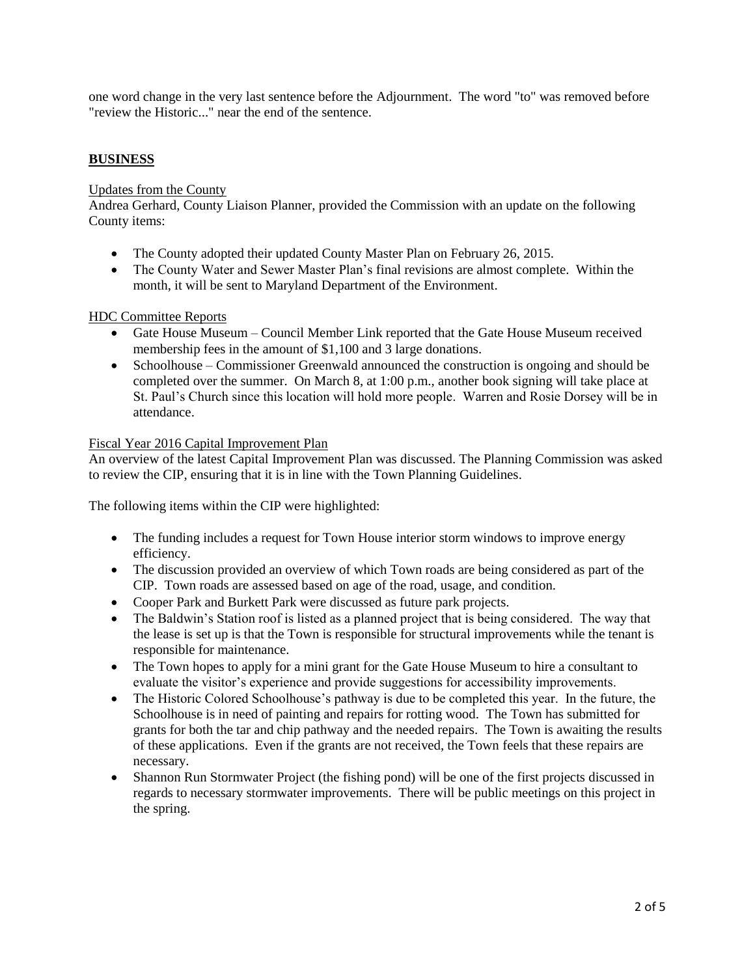one word change in the very last sentence before the Adjournment. The word "to" was removed before "review the Historic..." near the end of the sentence.

## **BUSINESS**

Updates from the County

Andrea Gerhard, County Liaison Planner, provided the Commission with an update on the following County items:

- The County adopted their updated County Master Plan on February 26, 2015.
- The County Water and Sewer Master Plan's final revisions are almost complete. Within the month, it will be sent to Maryland Department of the Environment.

#### HDC Committee Reports

- Gate House Museum Council Member Link reported that the Gate House Museum received membership fees in the amount of \$1,100 and 3 large donations.
- Schoolhouse Commissioner Greenwald announced the construction is ongoing and should be completed over the summer. On March 8, at 1:00 p.m., another book signing will take place at St. Paul's Church since this location will hold more people. Warren and Rosie Dorsey will be in attendance.

#### Fiscal Year 2016 Capital Improvement Plan

An overview of the latest Capital Improvement Plan was discussed. The Planning Commission was asked to review the CIP, ensuring that it is in line with the Town Planning Guidelines.

The following items within the CIP were highlighted:

- The funding includes a request for Town House interior storm windows to improve energy efficiency.
- The discussion provided an overview of which Town roads are being considered as part of the CIP. Town roads are assessed based on age of the road, usage, and condition.
- Cooper Park and Burkett Park were discussed as future park projects.
- The Baldwin's Station roof is listed as a planned project that is being considered. The way that the lease is set up is that the Town is responsible for structural improvements while the tenant is responsible for maintenance.
- The Town hopes to apply for a mini grant for the Gate House Museum to hire a consultant to evaluate the visitor's experience and provide suggestions for accessibility improvements.
- The Historic Colored Schoolhouse's pathway is due to be completed this year. In the future, the Schoolhouse is in need of painting and repairs for rotting wood. The Town has submitted for grants for both the tar and chip pathway and the needed repairs. The Town is awaiting the results of these applications. Even if the grants are not received, the Town feels that these repairs are necessary.
- Shannon Run Stormwater Project (the fishing pond) will be one of the first projects discussed in regards to necessary stormwater improvements. There will be public meetings on this project in the spring.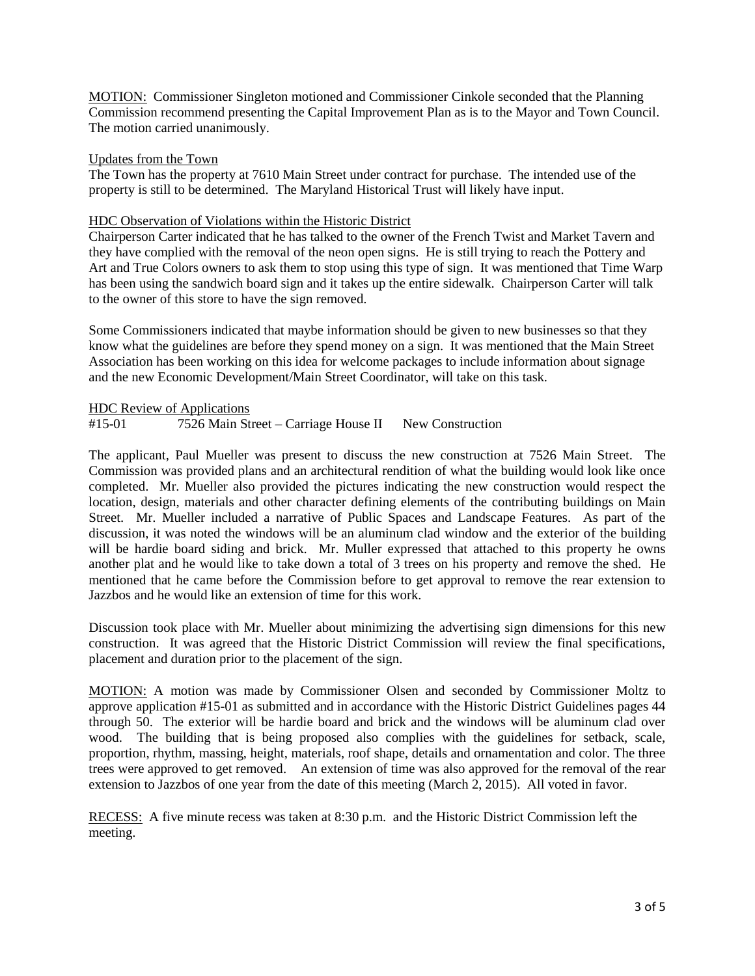MOTION: Commissioner Singleton motioned and Commissioner Cinkole seconded that the Planning Commission recommend presenting the Capital Improvement Plan as is to the Mayor and Town Council. The motion carried unanimously.

#### Updates from the Town

The Town has the property at 7610 Main Street under contract for purchase. The intended use of the property is still to be determined. The Maryland Historical Trust will likely have input.

## HDC Observation of Violations within the Historic District

Chairperson Carter indicated that he has talked to the owner of the French Twist and Market Tavern and they have complied with the removal of the neon open signs. He is still trying to reach the Pottery and Art and True Colors owners to ask them to stop using this type of sign. It was mentioned that Time Warp has been using the sandwich board sign and it takes up the entire sidewalk. Chairperson Carter will talk to the owner of this store to have the sign removed.

Some Commissioners indicated that maybe information should be given to new businesses so that they know what the guidelines are before they spend money on a sign. It was mentioned that the Main Street Association has been working on this idea for welcome packages to include information about signage and the new Economic Development/Main Street Coordinator, will take on this task.

## HDC Review of Applications

#15-01 7526 Main Street – Carriage House II New Construction

The applicant, Paul Mueller was present to discuss the new construction at 7526 Main Street. The Commission was provided plans and an architectural rendition of what the building would look like once completed. Mr. Mueller also provided the pictures indicating the new construction would respect the location, design, materials and other character defining elements of the contributing buildings on Main Street. Mr. Mueller included a narrative of Public Spaces and Landscape Features. As part of the discussion, it was noted the windows will be an aluminum clad window and the exterior of the building will be hardie board siding and brick. Mr. Muller expressed that attached to this property he owns another plat and he would like to take down a total of 3 trees on his property and remove the shed. He mentioned that he came before the Commission before to get approval to remove the rear extension to Jazzbos and he would like an extension of time for this work.

Discussion took place with Mr. Mueller about minimizing the advertising sign dimensions for this new construction. It was agreed that the Historic District Commission will review the final specifications, placement and duration prior to the placement of the sign.

MOTION: A motion was made by Commissioner Olsen and seconded by Commissioner Moltz to approve application #15-01 as submitted and in accordance with the Historic District Guidelines pages 44 through 50. The exterior will be hardie board and brick and the windows will be aluminum clad over wood. The building that is being proposed also complies with the guidelines for setback, scale, proportion, rhythm, massing, height, materials, roof shape, details and ornamentation and color. The three trees were approved to get removed. An extension of time was also approved for the removal of the rear extension to Jazzbos of one year from the date of this meeting (March 2, 2015). All voted in favor.

RECESS: A five minute recess was taken at 8:30 p.m. and the Historic District Commission left the meeting.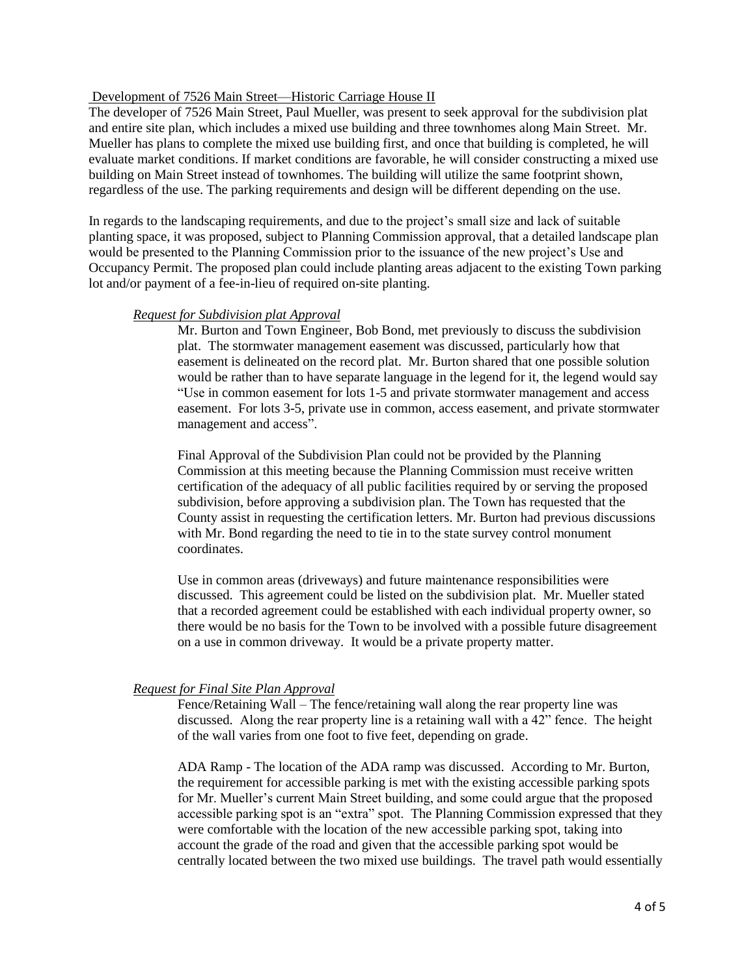### Development of 7526 Main Street—Historic Carriage House II

The developer of 7526 Main Street, Paul Mueller, was present to seek approval for the subdivision plat and entire site plan, which includes a mixed use building and three townhomes along Main Street. Mr. Mueller has plans to complete the mixed use building first, and once that building is completed, he will evaluate market conditions. If market conditions are favorable, he will consider constructing a mixed use building on Main Street instead of townhomes. The building will utilize the same footprint shown, regardless of the use. The parking requirements and design will be different depending on the use.

In regards to the landscaping requirements, and due to the project's small size and lack of suitable planting space, it was proposed, subject to Planning Commission approval, that a detailed landscape plan would be presented to the Planning Commission prior to the issuance of the new project's Use and Occupancy Permit. The proposed plan could include planting areas adjacent to the existing Town parking lot and/or payment of a fee-in-lieu of required on-site planting.

#### *Request for Subdivision plat Approval*

Mr. Burton and Town Engineer, Bob Bond, met previously to discuss the subdivision plat. The stormwater management easement was discussed, particularly how that easement is delineated on the record plat. Mr. Burton shared that one possible solution would be rather than to have separate language in the legend for it, the legend would say "Use in common easement for lots 1-5 and private stormwater management and access easement. For lots 3-5, private use in common, access easement, and private stormwater management and access".

Final Approval of the Subdivision Plan could not be provided by the Planning Commission at this meeting because the Planning Commission must receive written certification of the adequacy of all public facilities required by or serving the proposed subdivision, before approving a subdivision plan. The Town has requested that the County assist in requesting the certification letters. Mr. Burton had previous discussions with Mr. Bond regarding the need to tie in to the state survey control monument coordinates.

Use in common areas (driveways) and future maintenance responsibilities were discussed. This agreement could be listed on the subdivision plat. Mr. Mueller stated that a recorded agreement could be established with each individual property owner, so there would be no basis for the Town to be involved with a possible future disagreement on a use in common driveway. It would be a private property matter.

## *Request for Final Site Plan Approval*

Fence/Retaining Wall – The fence/retaining wall along the rear property line was discussed. Along the rear property line is a retaining wall with a 42" fence. The height of the wall varies from one foot to five feet, depending on grade.

ADA Ramp - The location of the ADA ramp was discussed. According to Mr. Burton, the requirement for accessible parking is met with the existing accessible parking spots for Mr. Mueller's current Main Street building, and some could argue that the proposed accessible parking spot is an "extra" spot. The Planning Commission expressed that they were comfortable with the location of the new accessible parking spot, taking into account the grade of the road and given that the accessible parking spot would be centrally located between the two mixed use buildings. The travel path would essentially